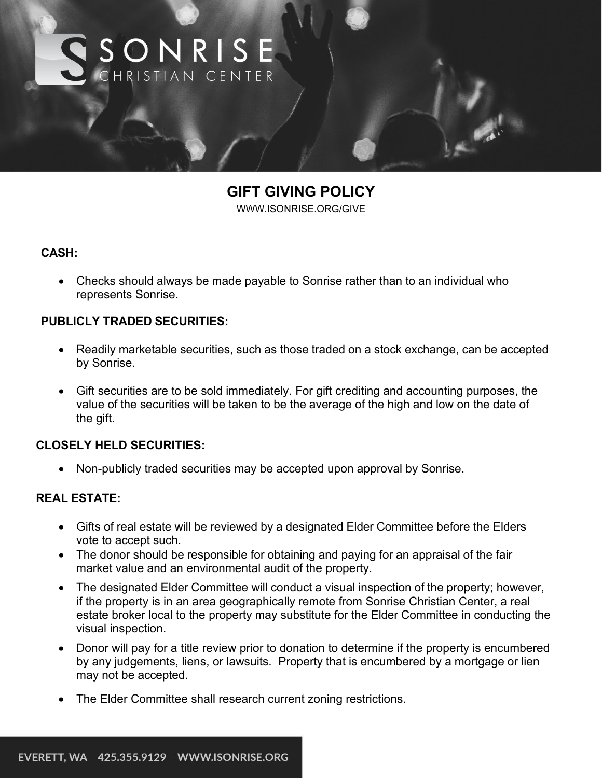

# **GIFT GIVING POLICY**

[WWW.ISONRISE.ORG/GIVE](http://www.isonrise.org/GIVE)

#### **CASH:**

• Checks should always be made payable to Sonrise rather than to an individual who represents Sonrise.

#### **PUBLICLY TRADED SECURITIES:**

- Readily marketable securities, such as those traded on a stock exchange, can be accepted by Sonrise.
- Gift securities are to be sold immediately. For gift crediting and accounting purposes, the value of the securities will be taken to be the average of the high and low on the date of the gift.

#### **CLOSELY HELD SECURITIES:**

• Non-publicly traded securities may be accepted upon approval by Sonrise.

# **REAL ESTATE:**

- Gifts of real estate will be reviewed by a designated Elder Committee before the Elders vote to accept such.
- The donor should be responsible for obtaining and paying for an appraisal of the fair market value and an environmental audit of the property.
- The designated Elder Committee will conduct a visual inspection of the property; however, if the property is in an area geographically remote from Sonrise Christian Center, a real estate broker local to the property may substitute for the Elder Committee in conducting the visual inspection.
- Donor will pay for a title review prior to donation to determine if the property is encumbered by any judgements, liens, or lawsuits. Property that is encumbered by a mortgage or lien may not be accepted.
- The Elder Committee shall research current zoning restrictions.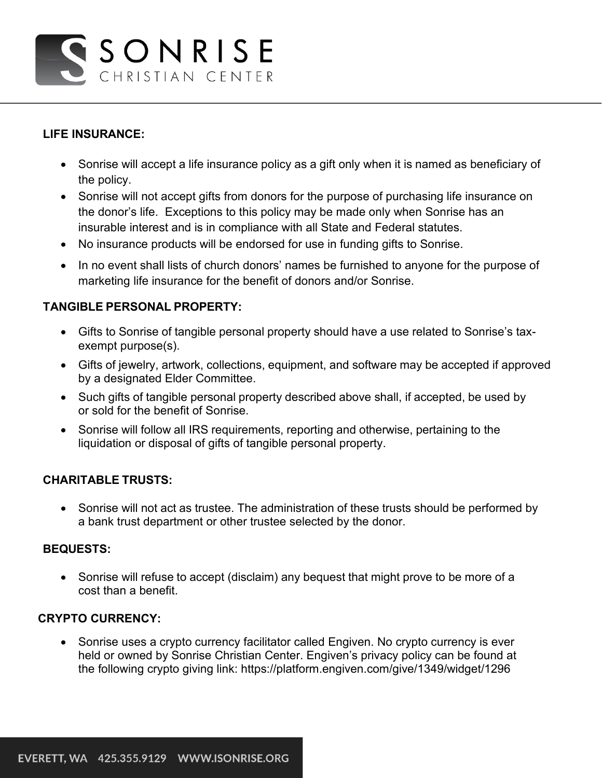# GSONRISE CHRISTIAN CENTER

# **LIFE INSURANCE:**

- Sonrise will accept a life insurance policy as a gift only when it is named as beneficiary of the policy.
- Sonrise will not accept gifts from donors for the purpose of purchasing life insurance on the donor's life. Exceptions to this policy may be made only when Sonrise has an insurable interest and is in compliance with all State and Federal statutes.
- No insurance products will be endorsed for use in funding gifts to Sonrise.
- In no event shall lists of church donors' names be furnished to anyone for the purpose of marketing life insurance for the benefit of donors and/or Sonrise.

# **TANGIBLE PERSONAL PROPERTY:**

- Gifts to Sonrise of tangible personal property should have a use related to Sonrise's taxexempt purpose(s).
- Gifts of jewelry, artwork, collections, equipment, and software may be accepted if approved by a designated Elder Committee.
- Such gifts of tangible personal property described above shall, if accepted, be used by or sold for the benefit of Sonrise.
- Sonrise will follow all IRS requirements, reporting and otherwise, pertaining to the liquidation or disposal of gifts of tangible personal property.

# **CHARITABLE TRUSTS:**

• Sonrise will not act as trustee. The administration of these trusts should be performed by a bank trust department or other trustee selected by the donor.

#### **BEQUESTS:**

• Sonrise will refuse to accept (disclaim) any bequest that might prove to be more of a cost than a benefit.

# **CRYPTO CURRENCY:**

• Sonrise uses a crypto currency facilitator called Engiven. No crypto currency is ever held or owned by Sonrise Christian Center. Engiven's privacy policy can be found at the following crypto giving link:<https://platform.engiven.com/give/1349/widget/1296>